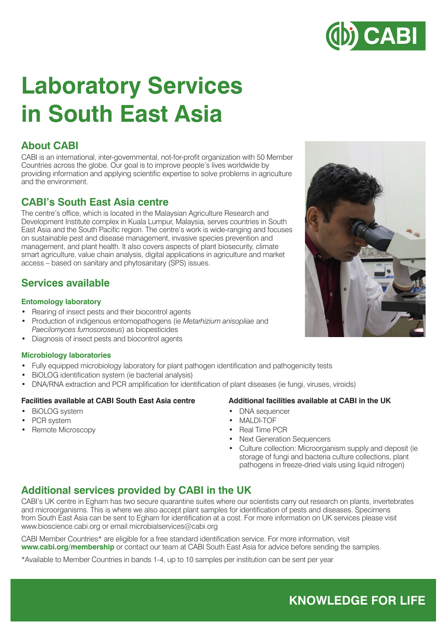

# **Laboratory Services in South East Asia**

## **About CABI**

CABI is an international, inter-governmental, not-for-profit organization with 50 Member Countries across the globe. Our goal is to improve people's lives worldwide by providing information and applying scientific expertise to solve problems in agriculture and the environment.

### **CABI's South East Asia centre**

The centre's office, which is located in the Malaysian Agriculture Research and Development Institute complex in Kuala Lumpur, Malaysia, serves countries in South East Asia and the South Pacific region. The centre's work is wide-ranging and focuses on sustainable pest and disease management, invasive species prevention and management, and plant health. It also covers aspects of plant biosecurity, climate smart agriculture, value chain analysis, digital applications in agriculture and market access – based on sanitary and phytosanitary (SPS) issues.

## **Services available**

#### **Entomology laboratory**

- Rearing of insect pests and their biocontrol agents
- Production of indigenous entomopathogens (ie *Metarhizium anisopliae* and *Paecilomyces fumosoroseus*) as biopesticides
- Diagnosis of insect pests and biocontrol agents

#### **Microbiology laboratories**

- Fully equipped microbiology laboratory for plant pathogen identification and pathogenicity tests
- BiOLOG identification system (ie bacterial analysis)
- DNA/RNA extraction and PCR amplification for identification of plant diseases (ie fungi, viruses, viroids)

#### **Facilities available at CABI South East Asia centre**

- BiOLOG system
- PCR system
- Remote Microscopy

#### **Additional facilities available at CABI in the UK**

- DNA sequencer
- MALDI-TOF
- Real Time PCR
- Next Generation Sequencers
- Culture collection: Microorganism supply and deposit (ie storage of fungi and bacteria culture collections, plant pathogens in freeze-dried vials using liquid nitrogen)

### **Additional services provided by CABI in the UK**

CABI's UK centre in Egham has two secure quarantine suites where our scientists carry out research on plants, invertebrates and microorganisms. This is where we also accept plant samples for identification of pests and diseases. Specimens from South East Asia can be sent to Egham for identification at a cost. For more information on UK services please visit www.bioscience.cabi.org or email microbialservices@cabi.org

CABI Member Countries\* are eligible for a free standard identification service. For more information, visit **www.cabi.org/membership** or contact our team at CABI South East Asia for advice before sending the samples.

\*Available to Member Countries in bands 1-4, up to 10 samples per institution can be sent per year